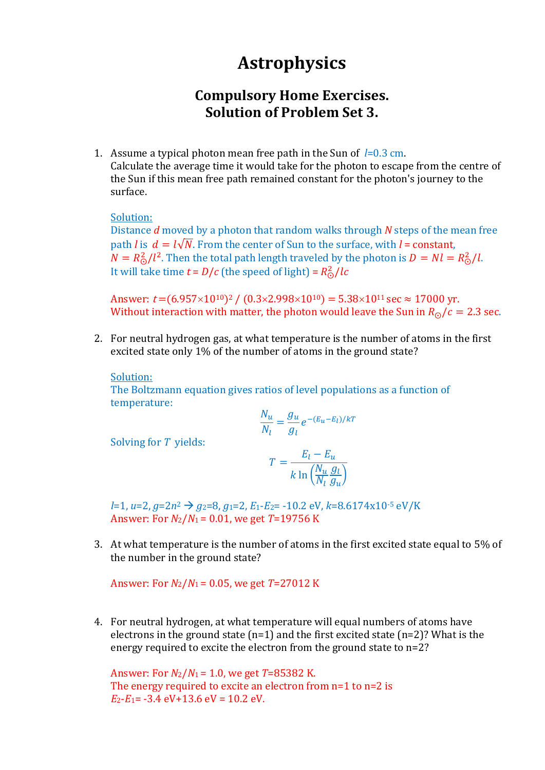# **Astrophysics**

## **Compulsory Home Exercises. Solution of Problem Set 3.**

1. Assume a typical photon mean free path in the Sun of *l*=0.3 cm. Calculate the average time it would take for the photon to escape from the centre of the Sun if this mean free path remained constant for the photon's journey to the surface.

#### Solution:

Distance *d* moved by a photon that random walks through *N* steps of the mean free path *l* is  $d = l\sqrt{N}$ . From the center of Sun to the surface, with *l* = constant,  $N = R_{\odot}^2/l^2$ . Then the total path length traveled by the photon is  $D = Nl = R_{\odot}^2/l$ . It will take time  $t = D/c$  (the speed of light) =  $R_{\odot}^2/lc$ 

Answer:  $t = (6.957 \times 10^{10})^2 / (0.3 \times 2.998 \times 10^{10}) = 5.38 \times 10^{11} \text{ sec} \approx 17000 \text{ yr}.$ Without interaction with matter, the photon would leave the Sun in  $R_{\odot}/c = 2.3$  sec.

2. For neutral hydrogen gas, at what temperature is the number of atoms in the first excited state only 1% of the number of atoms in the ground state?

#### Solution:

The Boltzmann equation gives ratios of level populations as a function of temperature:

$$
\frac{N_u}{N_l} = \frac{g_u}{g_l} e^{-(E_u - E_l)/kT}
$$

Solving for *T* yields:

$$
T = \frac{E_l - E_u}{k \ln \left( \frac{N_u}{N_l} \frac{g_l}{g_u} \right)}
$$

*l*=1, *u*=2, *g*=2*n*<sup>2</sup> → *g*2=8, *g*1=2, *E*1-*E*2= -10.2 eV, *k*=8.6174x10-5 eV/K Answer: For *N*2/*N*<sup>1</sup> = 0.01, we get *T*=19756 K

3. At what temperature is the number of atoms in the first excited state equal to 5% of the number in the ground state?

Answer: For *N*2/*N*<sup>1</sup> = 0.05, we get *T*=27012 K

4. For neutral hydrogen, at what temperature will equal numbers of atoms have electrons in the ground state  $(n=1)$  and the first excited state  $(n=2)$ ? What is the energy required to excite the electron from the ground state to n=2?

Answer: For *N*2/*N*<sup>1</sup> = 1.0, we get *T*=85382 K. The energy required to excite an electron from n=1 to n=2 is  $E_2-E_1$ = -3.4 eV+13.6 eV = 10.2 eV.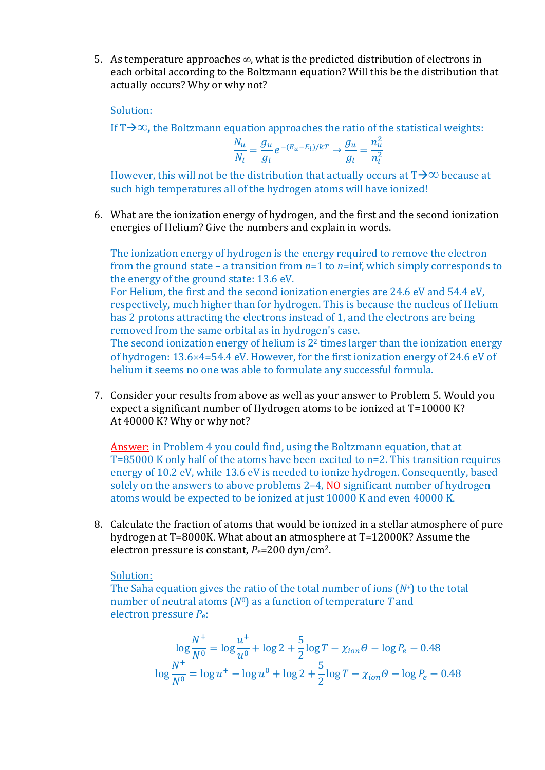5. As temperature approaches  $\infty$ , what is the predicted distribution of electrons in each orbital according to the Boltzmann equation? Will this be the distribution that actually occurs? Why or why not?

Solution:

If  $T\rightarrow\infty$ , the Boltzmann equation approaches the ratio of the statistical weights:

$$
\frac{N_u}{N_l} = \frac{g_u}{g_l} e^{-(E_u - E_l)/kT} \rightarrow \frac{g_u}{g_l} = \frac{n_u^2}{n_l^2}
$$

However, this will not be the distribution that actually occurs at  $T\rightarrow\infty$  because at such high temperatures all of the hydrogen atoms will have ionized!

6. What are the ionization energy of hydrogen, and the first and the second ionization energies of Helium? Give the numbers and explain in words.

The ionization energy of hydrogen is the energy required to remove the electron from the ground state – a transition from *n*=1 to *n*=inf, which simply corresponds to the energy of the ground state: 13.6 eV.

For Helium, the first and the second ionization energies are 24.6 eV and 54.4 eV, respectively, much higher than for hydrogen. This is because the nucleus of Helium has 2 protons attracting the electrons instead of 1, and the electrons are being removed from the same orbital as in hydrogen's case.

The second ionization energy of helium is  $2<sup>2</sup>$  times larger than the ionization energy of hydrogen:  $13.6\times4=54.4$  eV. However, for the first ionization energy of 24.6 eV of helium it seems no one was able to formulate any successful formula.

7. Consider your results from above as well as your answer to Problem 5. Would you expect a significant number of Hydrogen atoms to be ionized at T=10000 K? At 40000 K? Why or why not?

Answer: in Problem 4 you could find, using the Boltzmann equation, that at T=85000 K only half of the atoms have been excited to n=2. This transition requires energy of 10.2 eV, while 13.6 eV is needed to ionize hydrogen. Consequently, based solely on the answers to above problems 2–4, NO significant number of hydrogen atoms would be expected to be ionized at just 10000 K and even 40000 K.

8. Calculate the fraction of atoms that would be ionized in a stellar atmosphere of pure hydrogen at T=8000K. What about an atmosphere at T=12000K? Assume the electron pressure is constant,  $P_e$ =200 dyn/cm<sup>2</sup>.

### Solution:

The Saha equation gives the ratio of the total number of ions (*N*+) to the total number of neutral atoms (*N*0) as a function of temperature *T* and electron pressure *P*e:

$$
\log \frac{N^+}{N^0} = \log \frac{u^+}{u^0} + \log 2 + \frac{5}{2} \log T - \chi_{ion}\theta - \log P_e - 0.48
$$
  

$$
\log \frac{N^+}{N^0} = \log u^+ - \log u^0 + \log 2 + \frac{5}{2} \log T - \chi_{ion}\theta - \log P_e - 0.48
$$